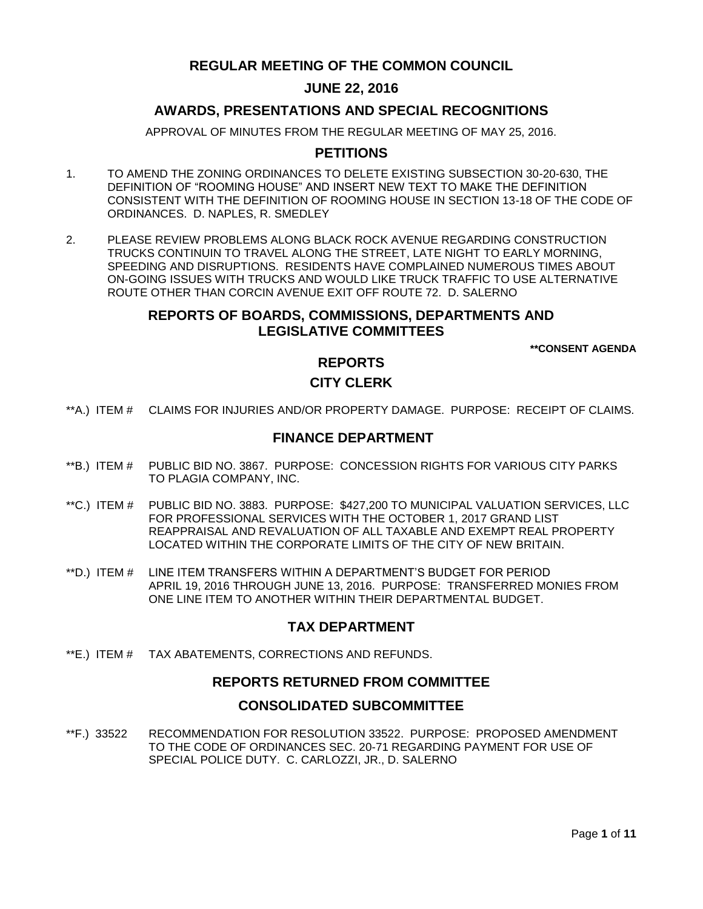# **REGULAR MEETING OF THE COMMON COUNCIL**

# **JUNE 22, 2016**

# **AWARDS, PRESENTATIONS AND SPECIAL RECOGNITIONS**

APPROVAL OF MINUTES FROM THE REGULAR MEETING OF MAY 25, 2016.

# **PETITIONS**

- 1. TO AMEND THE ZONING ORDINANCES TO DELETE EXISTING SUBSECTION 30-20-630, THE DEFINITION OF "ROOMING HOUSE" AND INSERT NEW TEXT TO MAKE THE DEFINITION CONSISTENT WITH THE DEFINITION OF ROOMING HOUSE IN SECTION 13-18 OF THE CODE OF ORDINANCES. D. NAPLES, R. SMEDLEY
- 2. PLEASE REVIEW PROBLEMS ALONG BLACK ROCK AVENUE REGARDING CONSTRUCTION TRUCKS CONTINUIN TO TRAVEL ALONG THE STREET, LATE NIGHT TO EARLY MORNING, SPEEDING AND DISRUPTIONS. RESIDENTS HAVE COMPLAINED NUMEROUS TIMES ABOUT ON-GOING ISSUES WITH TRUCKS AND WOULD LIKE TRUCK TRAFFIC TO USE ALTERNATIVE ROUTE OTHER THAN CORCIN AVENUE EXIT OFF ROUTE 72. D. SALERNO

### **REPORTS OF BOARDS, COMMISSIONS, DEPARTMENTS AND LEGISLATIVE COMMITTEES**

**\*\*CONSENT AGENDA**

### **REPORTS**

# **CITY CLERK**

\*\*A.) ITEM # [CLAIMS FOR INJURIES AND/OR PROPERTY DAMAGE. PURPOSE: RECEIPT OF CLAIMS.](#page-2-0)

## **FINANCE DEPARTMENT**

- \*\*B.) ITEM # [PUBLIC BID NO. 3867. PURPOSE: CONCESSION RIGHTS FOR VARIOUS CITY PARKS](#page-2-1)  [TO PLAGIA COMPANY, INC.](#page-2-1)
- \*\*C.) ITEM # [PUBLIC BID NO. 3883. PURPOSE: \\$427,200 TO MUNICIPAL VALUATION SERVICES, LLC](#page-3-0)  [FOR PROFESSIONAL SERVICES WITH THE OCTOBER 1, 2017 GRAND LIST](#page-3-0)  [REAPPRAISAL AND REVALUATION OF ALL TAXABLE AND EXEMPT REAL PROPERTY](#page-3-0)  [LOCATED WITHIN THE CORPORATE LIMITS OF THE CITY OF NEW BRITAIN.](#page-3-0)
- \*\*D.) ITEM # [LINE ITEM TRANSFERS WITHIN A DEPARTMENT'S BUDGET FOR PERIOD](#page-4-0)  [APRIL 19, 2016 THROUGH JUNE 13, 2016. PURPOSE: TRANSFERRED MONIES FROM](#page-4-0)  [ONE LINE ITEM TO ANOTHER WITHIN THEIR DEPARTMENTAL BUDGET.](#page-4-0)

# **TAX DEPARTMENT**

\*\*E.) ITEM # [TAX ABATEMENTS, CORRECTIONS AND REFUNDS.](#page-4-1)

# **REPORTS RETURNED FROM COMMITTEE**

#### **CONSOLIDATED SUBCOMMITTEE**

\*\*F.) 33522 [RECOMMENDATION FOR RESOLUTION 33522. PURPOSE: PROPOSED AMENDMENT](#page-5-0)  [TO THE CODE OF ORDINANCES SEC. 20-71 REGARDING PAYMENT FOR USE OF](#page-5-0)  [SPECIAL POLICE DUTY. C. CARLOZZI, JR., D. SALERNO](#page-5-0)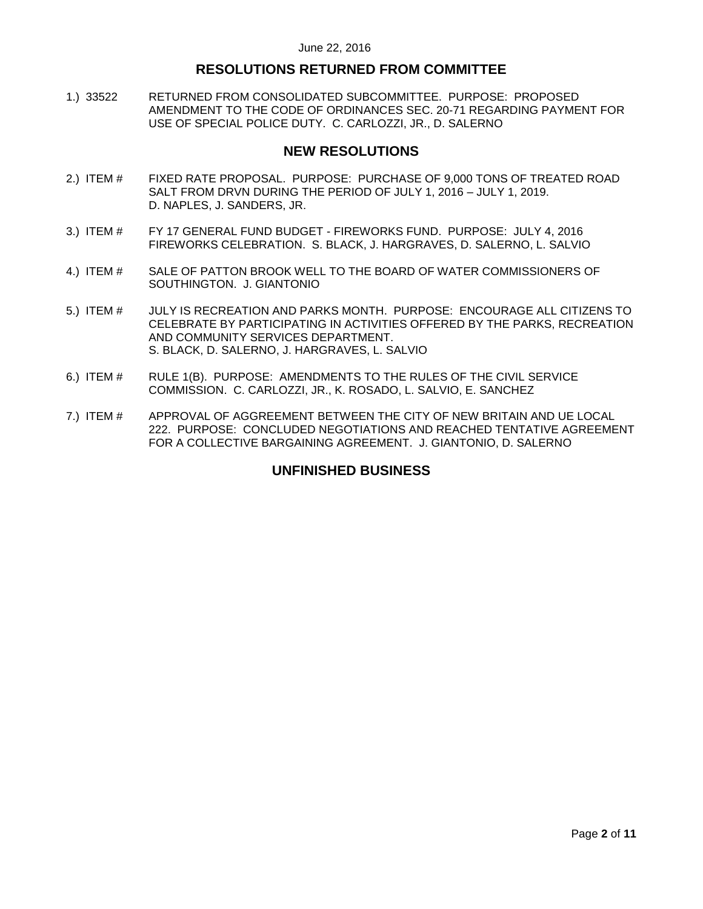## **RESOLUTIONS RETURNED FROM COMMITTEE**

1.) 33522 [RETURNED FROM CONSOLIDATED SUBCOMMITTEE. PURPOSE: PROPOSED](#page-5-1)  [AMENDMENT TO THE CODE OF ORDINANCES SEC. 20-71 REGARDING PAYMENT FOR](#page-5-1)  [USE OF SPECIAL POLICE DUTY. C. CARLOZZI, JR., D. SALERNO](#page-5-1)

### **NEW RESOLUTIONS**

- 2.) ITEM # [FIXED RATE PROPOSAL. PURPOSE: PURCHASE OF 9,000 TONS OF TREATED ROAD](#page-6-0)  SALT FROM DRVN [DURING THE PERIOD OF JULY 1, 2016 –](#page-6-0) JULY 1, 2019. [D. NAPLES, J. SANDERS, JR.](#page-6-0)
- 3.) ITEM # FY 17 GENERAL FUND BUDGET [FIREWORKS FUND. PURPOSE: JULY 4, 2016](#page-7-0)  [FIREWORKS CELEBRATION. S. BLACK, J. HARGRAVES, D. SALERNO, L. SALVIO](#page-7-0)
- 4.) ITEM # [SALE OF PATTON BROOK WELL TO THE BOARD OF WATER COMMISSIONERS OF](#page-7-1)  [SOUTHINGTON. J. GIANTONIO](#page-7-1)
- 5.) ITEM # [JULY IS RECREATION AND PARKS MONTH. PURPOSE: ENCOURAGE ALL CITIZENS TO](#page-8-0)  [CELEBRATE BY PARTICIPATING IN ACTIVITIES OFFERED BY THE PARKS, RECREATION](#page-8-0)  [AND COMMUNITY SERVICES DEPARTMENT.](#page-8-0)  [S. BLACK, D. SALERNO, J. HARGRAVES, L. SALVIO](#page-8-0)
- 6.) ITEM # [RULE 1\(B\). PURPOSE: AMENDMENTS TO THE RULES OF THE CIVIL SERVICE](#page-9-0)  [COMMISSION. C. CARLOZZI, JR., K. ROSADO, L. SALVIO, E. SANCHEZ](#page-9-0)
- 7.) ITEM # [APPROVAL OF AGGREEMENT BETWEEN THE CITY OF NEW BRITAIN AND UE LOCAL](#page-9-1)  [222. PURPOSE: CONCLUDED NEGOTIATIONS AND REACHED TENTATIVE AGREEMENT](#page-9-1)  [FOR A COLLECTIVE BARGAINING AGREEMENT. J. GIANTONIO, D. SALERNO](#page-9-1)

# **UNFINISHED BUSINESS**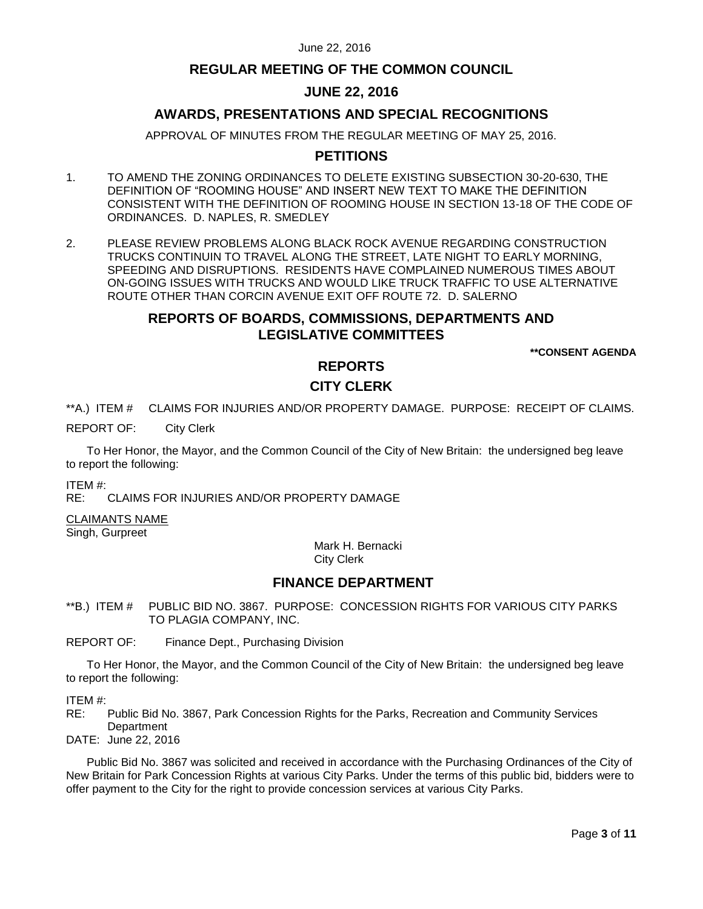## **REGULAR MEETING OF THE COMMON COUNCIL**

# **JUNE 22, 2016**

# **AWARDS, PRESENTATIONS AND SPECIAL RECOGNITIONS**

APPROVAL OF MINUTES FROM THE REGULAR MEETING OF MAY 25, 2016.

# **PETITIONS**

- 1. TO AMEND THE ZONING ORDINANCES TO DELETE EXISTING SUBSECTION 30-20-630, THE DEFINITION OF "ROOMING HOUSE" AND INSERT NEW TEXT TO MAKE THE DEFINITION CONSISTENT WITH THE DEFINITION OF ROOMING HOUSE IN SECTION 13-18 OF THE CODE OF ORDINANCES. D. NAPLES, R. SMEDLEY
- 2. PLEASE REVIEW PROBLEMS ALONG BLACK ROCK AVENUE REGARDING CONSTRUCTION TRUCKS CONTINUIN TO TRAVEL ALONG THE STREET, LATE NIGHT TO EARLY MORNING, SPEEDING AND DISRUPTIONS. RESIDENTS HAVE COMPLAINED NUMEROUS TIMES ABOUT ON-GOING ISSUES WITH TRUCKS AND WOULD LIKE TRUCK TRAFFIC TO USE ALTERNATIVE ROUTE OTHER THAN CORCIN AVENUE EXIT OFF ROUTE 72. D. SALERNO

#### **REPORTS OF BOARDS, COMMISSIONS, DEPARTMENTS AND LEGISLATIVE COMMITTEES**

**\*\*CONSENT AGENDA**

# **REPORTS**

### **CITY CLERK**

<span id="page-2-0"></span>\*\*A.) ITEM # CLAIMS FOR INJURIES AND/OR PROPERTY DAMAGE. PURPOSE: RECEIPT OF CLAIMS.

#### REPORT OF: City Clerk

To Her Honor, the Mayor, and the Common Council of the City of New Britain: the undersigned beg leave to report the following:

ITEM #:

RE: CLAIMS FOR INJURIES AND/OR PROPERTY DAMAGE

#### CLAIMANTS NAME

Singh, Gurpreet

Mark H. Bernacki City Clerk

#### **FINANCE DEPARTMENT**

<span id="page-2-1"></span>\*\*B.) ITEM # PUBLIC BID NO. 3867. PURPOSE: CONCESSION RIGHTS FOR VARIOUS CITY PARKS TO PLAGIA COMPANY, INC.

REPORT OF: Finance Dept., Purchasing Division

To Her Honor, the Mayor, and the Common Council of the City of New Britain: the undersigned beg leave to report the following:

ITEM #:

RE: Public Bid No. 3867, Park Concession Rights for the Parks, Recreation and Community Services **Department** 

DATE: June 22, 2016

Public Bid No. 3867 was solicited and received in accordance with the Purchasing Ordinances of the City of New Britain for Park Concession Rights at various City Parks. Under the terms of this public bid, bidders were to offer payment to the City for the right to provide concession services at various City Parks.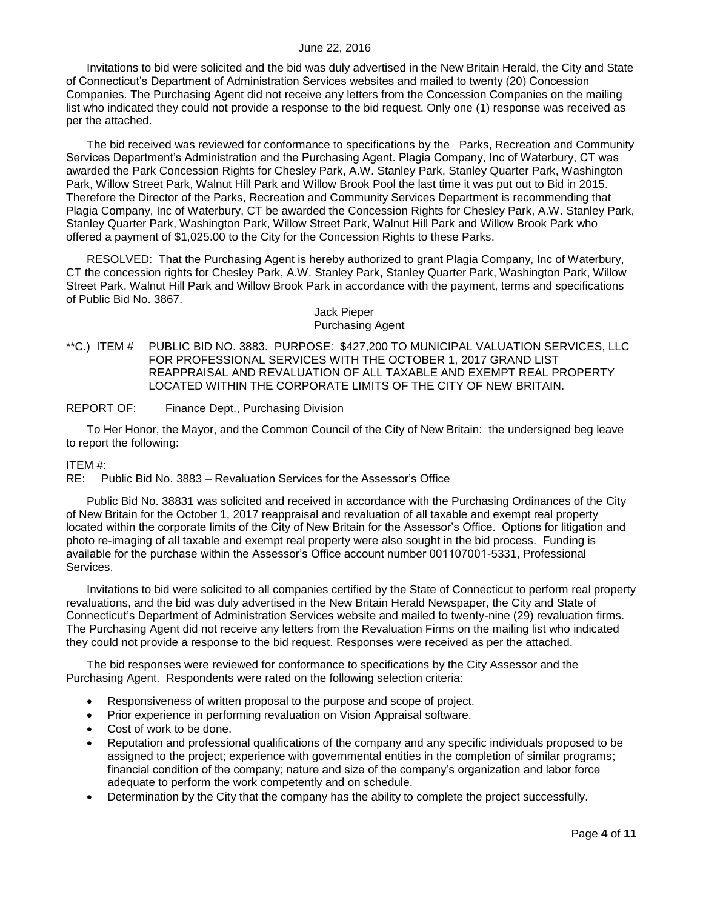Invitations to bid were solicited and the bid was duly advertised in the New Britain Herald, the City and State of Connecticut's Department of Administration Services websites and mailed to twenty (20) Concession Companies. The Purchasing Agent did not receive any letters from the Concession Companies on the mailing list who indicated they could not provide a response to the bid request. Only one (1) response was received as per the attached.

The bid received was reviewed for conformance to specifications by the Parks, Recreation and Community Services Department's Administration and the Purchasing Agent. Plagia Company, Inc of Waterbury, CT was awarded the Park Concession Rights for Chesley Park, A.W. Stanley Park, Stanley Quarter Park, Washington Park, Willow Street Park, Walnut Hill Park and Willow Brook Pool the last time it was put out to Bid in 2015. Therefore the Director of the Parks, Recreation and Community Services Department is recommending that Plagia Company, Inc of Waterbury, CT be awarded the Concession Rights for Chesley Park, A.W. Stanley Park, Stanley Quarter Park, Washington Park, Willow Street Park, Walnut Hill Park and Willow Brook Park who offered a payment of \$1,025.00 to the City for the Concession Rights to these Parks.

RESOLVED: That the Purchasing Agent is hereby authorized to grant Plagia Company, Inc of Waterbury, CT the concession rights for Chesley Park, A.W. Stanley Park, Stanley Quarter Park, Washington Park, Willow Street Park, Walnut Hill Park and Willow Brook Park in accordance with the payment, terms and specifications of Public Bid No. 3867.

> Jack Pieper Purchasing Agent

<span id="page-3-0"></span>\*\*C.) ITEM # PUBLIC BID NO. 3883. PURPOSE: \$427,200 TO MUNICIPAL VALUATION SERVICES, LLC FOR PROFESSIONAL SERVICES WITH THE OCTOBER 1, 2017 GRAND LIST REAPPRAISAL AND REVALUATION OF ALL TAXABLE AND EXEMPT REAL PROPERTY LOCATED WITHIN THE CORPORATE LIMITS OF THE CITY OF NEW BRITAIN.

REPORT OF: Finance Dept., Purchasing Division

To Her Honor, the Mayor, and the Common Council of the City of New Britain: the undersigned beg leave to report the following:

#### ITEM #:

RE: Public Bid No. 3883 – Revaluation Services for the Assessor's Office

Public Bid No. 38831 was solicited and received in accordance with the Purchasing Ordinances of the City of New Britain for the October 1, 2017 reappraisal and revaluation of all taxable and exempt real property located within the corporate limits of the City of New Britain for the Assessor's Office. Options for litigation and photo re-imaging of all taxable and exempt real property were also sought in the bid process. Funding is available for the purchase within the Assessor's Office account number 001107001-5331, Professional Services.

Invitations to bid were solicited to all companies certified by the State of Connecticut to perform real property revaluations, and the bid was duly advertised in the New Britain Herald Newspaper, the City and State of Connecticut's Department of Administration Services website and mailed to twenty-nine (29) revaluation firms. The Purchasing Agent did not receive any letters from the Revaluation Firms on the mailing list who indicated they could not provide a response to the bid request. Responses were received as per the attached.

The bid responses were reviewed for conformance to specifications by the City Assessor and the Purchasing Agent. Respondents were rated on the following selection criteria:

- Responsiveness of written proposal to the purpose and scope of project.
- Prior experience in performing revaluation on Vision Appraisal software.
- Cost of work to be done.
- Reputation and professional qualifications of the company and any specific individuals proposed to be assigned to the project; experience with governmental entities in the completion of similar programs; financial condition of the company; nature and size of the company's organization and labor force adequate to perform the work competently and on schedule.
- Determination by the City that the company has the ability to complete the project successfully.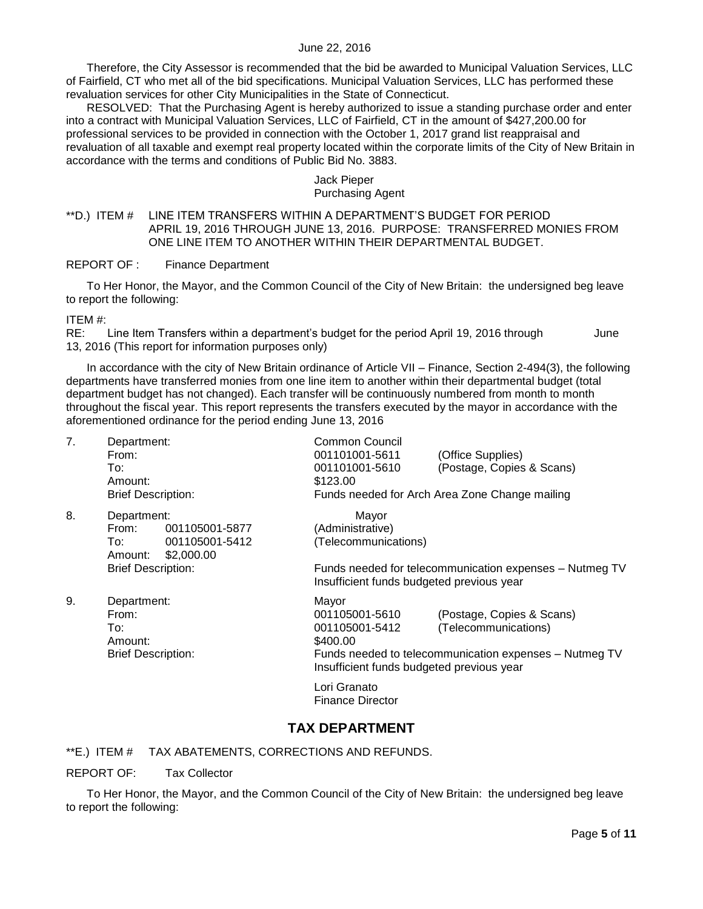Therefore, the City Assessor is recommended that the bid be awarded to Municipal Valuation Services, LLC of Fairfield, CT who met all of the bid specifications. Municipal Valuation Services, LLC has performed these revaluation services for other City Municipalities in the State of Connecticut.

RESOLVED: That the Purchasing Agent is hereby authorized to issue a standing purchase order and enter into a contract with Municipal Valuation Services, LLC of Fairfield, CT in the amount of \$427,200.00 for professional services to be provided in connection with the October 1, 2017 grand list reappraisal and revaluation of all taxable and exempt real property located within the corporate limits of the City of New Britain in accordance with the terms and conditions of Public Bid No. 3883.

# Jack Pieper

#### Purchasing Agent

#### <span id="page-4-0"></span>\*\*D.) ITEM # LINE ITEM TRANSFERS WITHIN A DEPARTMENT'S BUDGET FOR PERIOD APRIL 19, 2016 THROUGH JUNE 13, 2016. PURPOSE: TRANSFERRED MONIES FROM ONE LINE ITEM TO ANOTHER WITHIN THEIR DEPARTMENTAL BUDGET.

REPORT OF : Finance Department

To Her Honor, the Mayor, and the Common Council of the City of New Britain: the undersigned beg leave to report the following:

ITEM #:

RE: Line Item Transfers within a department's budget for the period April 19, 2016 through June 13, 2016 (This report for information purposes only)

In accordance with the city of New Britain ordinance of Article VII – Finance, Section 2-494(3), the following departments have transferred monies from one line item to another within their departmental budget (total department budget has not changed). Each transfer will be continuously numbered from month to month throughout the fiscal year. This report represents the transfers executed by the mayor in accordance with the aforementioned ordinance for the period ending June 13, 2016

| 7. | Department:<br>From:<br>To:<br>Amount:<br><b>Brief Description:</b> |                                                | Common Council<br>001101001-5611<br>001101001-5610<br>\$123.00                                     | (Office Supplies)<br>(Postage, Copies & Scans)<br>Funds needed for Arch Area Zone Change mailing            |  |  |
|----|---------------------------------------------------------------------|------------------------------------------------|----------------------------------------------------------------------------------------------------|-------------------------------------------------------------------------------------------------------------|--|--|
| 8. | Department:<br>From:<br>To:<br>Amount:<br><b>Brief Description:</b> | 001105001-5877<br>001105001-5412<br>\$2,000.00 | Mayor<br>(Administrative)<br>(Telecommunications)                                                  | Funds needed for telecommunication expenses - Nutmeg TV                                                     |  |  |
|    |                                                                     |                                                |                                                                                                    | Insufficient funds budgeted previous year                                                                   |  |  |
| 9. | Department:<br>From:<br>To:<br>Amount:<br><b>Brief Description:</b> |                                                | Mayor<br>001105001-5610<br>001105001-5412<br>\$400.00<br>Insufficient funds budgeted previous year | (Postage, Copies & Scans)<br>(Telecommunications)<br>Funds needed to telecommunication expenses - Nutmeg TV |  |  |
|    |                                                                     |                                                | Lori Granato<br>Finance Director                                                                   |                                                                                                             |  |  |

# **TAX DEPARTMENT**

<span id="page-4-1"></span>\*\*E.) ITEM # TAX ABATEMENTS, CORRECTIONS AND REFUNDS.

REPORT OF: Tax Collector

To Her Honor, the Mayor, and the Common Council of the City of New Britain: the undersigned beg leave to report the following: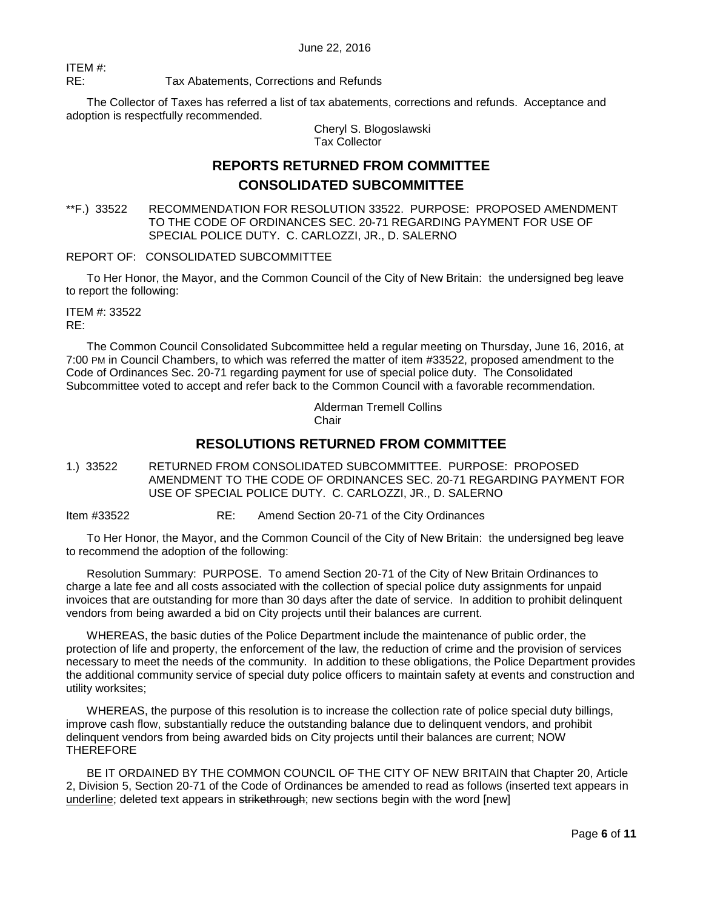ITEM #: RE: Tax Abatements, Corrections and Refunds

The Collector of Taxes has referred a list of tax abatements, corrections and refunds. Acceptance and adoption is respectfully recommended.

Cheryl S. Blogoslawski Tax Collector

# **REPORTS RETURNED FROM COMMITTEE CONSOLIDATED SUBCOMMITTEE**

<span id="page-5-0"></span>\*\*F.) 33522 RECOMMENDATION FOR RESOLUTION 33522. PURPOSE: PROPOSED AMENDMENT TO THE CODE OF ORDINANCES SEC. 20-71 REGARDING PAYMENT FOR USE OF SPECIAL POLICE DUTY. C. CARLOZZI, JR., D. SALERNO

REPORT OF: CONSOLIDATED SUBCOMMITTEE

To Her Honor, the Mayor, and the Common Council of the City of New Britain: the undersigned beg leave to report the following:

ITEM #: 33522 RE:

The Common Council Consolidated Subcommittee held a regular meeting on Thursday, June 16, 2016, at 7:00 PM in Council Chambers, to which was referred the matter of item #33522, proposed amendment to the Code of Ordinances Sec. 20-71 regarding payment for use of special police duty. The Consolidated Subcommittee voted to accept and refer back to the Common Council with a favorable recommendation.

> Alderman Tremell Collins **Chair**

# **RESOLUTIONS RETURNED FROM COMMITTEE**

<span id="page-5-1"></span>1.) 33522 RETURNED FROM CONSOLIDATED SUBCOMMITTEE. PURPOSE: PROPOSED AMENDMENT TO THE CODE OF ORDINANCES SEC. 20-71 REGARDING PAYMENT FOR USE OF SPECIAL POLICE DUTY. C. CARLOZZI, JR., D. SALERNO

Item #33522 RE: Amend Section 20-71 of the City Ordinances

To Her Honor, the Mayor, and the Common Council of the City of New Britain: the undersigned beg leave to recommend the adoption of the following:

Resolution Summary: PURPOSE. To amend Section 20-71 of the City of New Britain Ordinances to charge a late fee and all costs associated with the collection of special police duty assignments for unpaid invoices that are outstanding for more than 30 days after the date of service. In addition to prohibit delinquent vendors from being awarded a bid on City projects until their balances are current.

WHEREAS, the basic duties of the Police Department include the maintenance of public order, the protection of life and property, the enforcement of the law, the reduction of crime and the provision of services necessary to meet the needs of the community. In addition to these obligations, the Police Department provides the additional community service of special duty police officers to maintain safety at events and construction and utility worksites;

WHEREAS, the purpose of this resolution is to increase the collection rate of police special duty billings, improve cash flow, substantially reduce the outstanding balance due to delinquent vendors, and prohibit delinquent vendors from being awarded bids on City projects until their balances are current; NOW THEREFORE

BE IT ORDAINED BY THE COMMON COUNCIL OF THE CITY OF NEW BRITAIN that Chapter 20, Article 2, Division 5, Section 20-71 of the Code of Ordinances be amended to read as follows (inserted text appears in underline; deleted text appears in strikethrough; new sections begin with the word [new]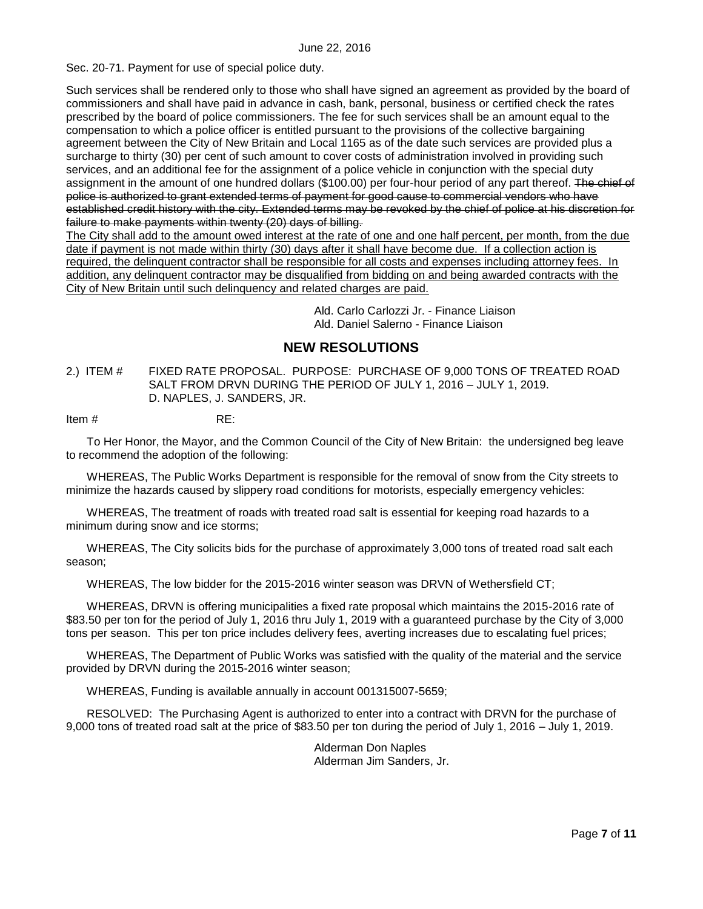Sec. 20-71. Payment for use of special police duty.

Such services shall be rendered only to those who shall have signed an agreement as provided by the board of commissioners and shall have paid in advance in cash, bank, personal, business or certified check the rates prescribed by the board of police commissioners. The fee for such services shall be an amount equal to the compensation to which a police officer is entitled pursuant to the provisions of the collective bargaining agreement between the City of New Britain and Local 1165 as of the date such services are provided plus a surcharge to thirty (30) per cent of such amount to cover costs of administration involved in providing such services, and an additional fee for the assignment of a police vehicle in conjunction with the special duty assignment in the amount of one hundred dollars (\$100.00) per four-hour period of any part thereof. The chief of police is authorized to grant extended terms of payment for good cause to commercial vendors who have established credit history with the city. Extended terms may be revoked by the chief of police at his discretion for failure to make payments within twenty (20) days of billing.

The City shall add to the amount owed interest at the rate of one and one half percent, per month, from the due date if payment is not made within thirty (30) days after it shall have become due. If a collection action is required, the delinquent contractor shall be responsible for all costs and expenses including attorney fees. In addition, any delinquent contractor may be disqualified from bidding on and being awarded contracts with the City of New Britain until such delinquency and related charges are paid.

> Ald. Carlo Carlozzi Jr. - Finance Liaison Ald. Daniel Salerno - Finance Liaison

# **NEW RESOLUTIONS**

<span id="page-6-0"></span>2.) ITEM # FIXED RATE PROPOSAL. PURPOSE: PURCHASE OF 9,000 TONS OF TREATED ROAD SALT FROM DRVN DURING THE PERIOD OF JULY 1, 2016 – JULY 1, 2019. D. NAPLES, J. SANDERS, JR.

Item # RE:

To Her Honor, the Mayor, and the Common Council of the City of New Britain: the undersigned beg leave to recommend the adoption of the following:

WHEREAS, The Public Works Department is responsible for the removal of snow from the City streets to minimize the hazards caused by slippery road conditions for motorists, especially emergency vehicles:

WHEREAS, The treatment of roads with treated road salt is essential for keeping road hazards to a minimum during snow and ice storms;

WHEREAS, The City solicits bids for the purchase of approximately 3,000 tons of treated road salt each season;

WHEREAS, The low bidder for the 2015-2016 winter season was DRVN of Wethersfield CT;

WHEREAS, DRVN is offering municipalities a fixed rate proposal which maintains the 2015-2016 rate of \$83.50 per ton for the period of July 1, 2016 thru July 1, 2019 with a guaranteed purchase by the City of 3,000 tons per season. This per ton price includes delivery fees, averting increases due to escalating fuel prices;

WHEREAS, The Department of Public Works was satisfied with the quality of the material and the service provided by DRVN during the 2015-2016 winter season;

WHEREAS, Funding is available annually in account 001315007-5659;

RESOLVED: The Purchasing Agent is authorized to enter into a contract with DRVN for the purchase of 9,000 tons of treated road salt at the price of \$83.50 per ton during the period of July 1, 2016 – July 1, 2019.

> Alderman Don Naples Alderman Jim Sanders, Jr.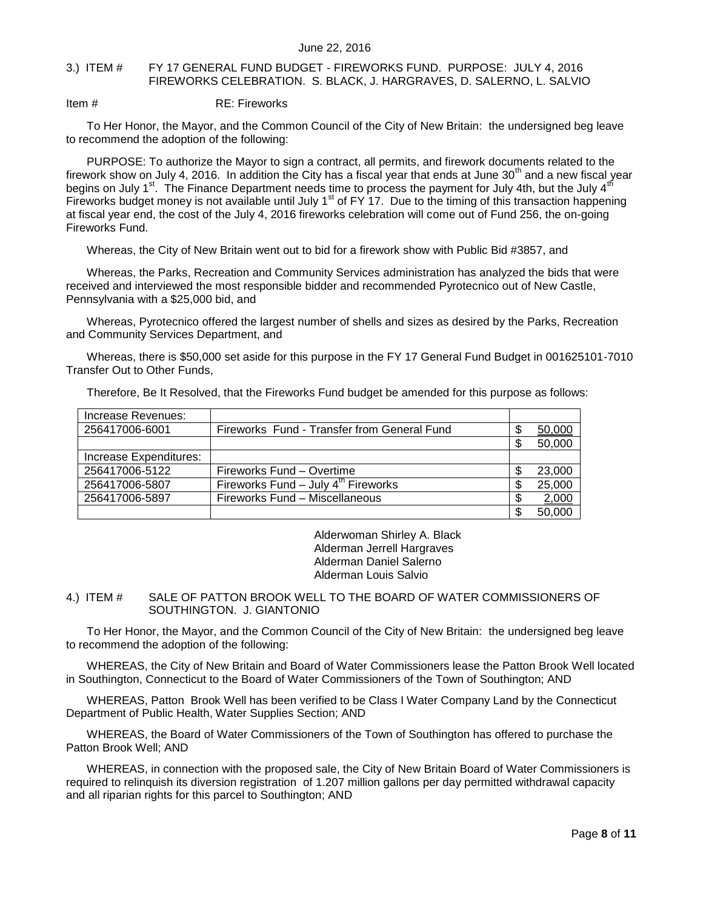#### <span id="page-7-0"></span>3.) ITEM # FY 17 GENERAL FUND BUDGET - FIREWORKS FUND. PURPOSE: JULY 4, 2016 FIREWORKS CELEBRATION. S. BLACK, J. HARGRAVES, D. SALERNO, L. SALVIO

Item # RE: Fireworks

To Her Honor, the Mayor, and the Common Council of the City of New Britain: the undersigned beg leave to recommend the adoption of the following:

PURPOSE: To authorize the Mayor to sign a contract, all permits, and firework documents related to the firework show on July 4, 2016. In addition the City has a fiscal year that ends at June 30<sup>th</sup> and a new fiscal year begins on July 1<sup>st</sup>. The Finance Department needs time to process the payment for July 4th, but the July 4<sup>th</sup> Fireworks budget money is not available until July  $1<sup>st</sup>$  of FY 17. Due to the timing of this transaction happening at fiscal year end, the cost of the July 4, 2016 fireworks celebration will come out of Fund 256, the on-going Fireworks Fund.

Whereas, the City of New Britain went out to bid for a firework show with Public Bid #3857, and

Whereas, the Parks, Recreation and Community Services administration has analyzed the bids that were received and interviewed the most responsible bidder and recommended Pyrotecnico out of New Castle, Pennsylvania with a \$25,000 bid, and

Whereas, Pyrotecnico offered the largest number of shells and sizes as desired by the Parks, Recreation and Community Services Department, and

Whereas, there is \$50,000 set aside for this purpose in the FY 17 General Fund Budget in 001625101-7010 Transfer Out to Other Funds,

|  |  | Therefore, Be It Resolved, that the Fireworks Fund budget be amended for this purpose as follows: |
|--|--|---------------------------------------------------------------------------------------------------|
|  |  |                                                                                                   |

| Increase Revenues:     |                                                   |   |        |
|------------------------|---------------------------------------------------|---|--------|
| 256417006-6001         | Fireworks Fund - Transfer from General Fund       |   | 50,000 |
|                        |                                                   | æ | 50,000 |
| Increase Expenditures: |                                                   |   |        |
| 256417006-5122         | Fireworks Fund – Overtime                         |   | 23,000 |
| 256417006-5807         | Fireworks Fund $-$ July 4 <sup>th</sup> Fireworks | S | 25,000 |
| 256417006-5897         | Fireworks Fund - Miscellaneous                    | S | 2,000  |
|                        |                                                   |   | 50,000 |

Alderwoman Shirley A. Black Alderman Jerrell Hargraves Alderman Daniel Salerno Alderman Louis Salvio

#### <span id="page-7-1"></span>4.) ITEM # SALE OF PATTON BROOK WELL TO THE BOARD OF WATER COMMISSIONERS OF SOUTHINGTON. J. GIANTONIO

To Her Honor, the Mayor, and the Common Council of the City of New Britain: the undersigned beg leave to recommend the adoption of the following:

WHEREAS, the City of New Britain and Board of Water Commissioners lease the Patton Brook Well located in Southington, Connecticut to the Board of Water Commissioners of the Town of Southington; AND

WHEREAS, Patton Brook Well has been verified to be Class I Water Company Land by the Connecticut Department of Public Health, Water Supplies Section; AND

WHEREAS, the Board of Water Commissioners of the Town of Southington has offered to purchase the Patton Brook Well; AND

WHEREAS, in connection with the proposed sale, the City of New Britain Board of Water Commissioners is required to relinquish its diversion registration of 1.207 million gallons per day permitted withdrawal capacity and all riparian rights for this parcel to Southington; AND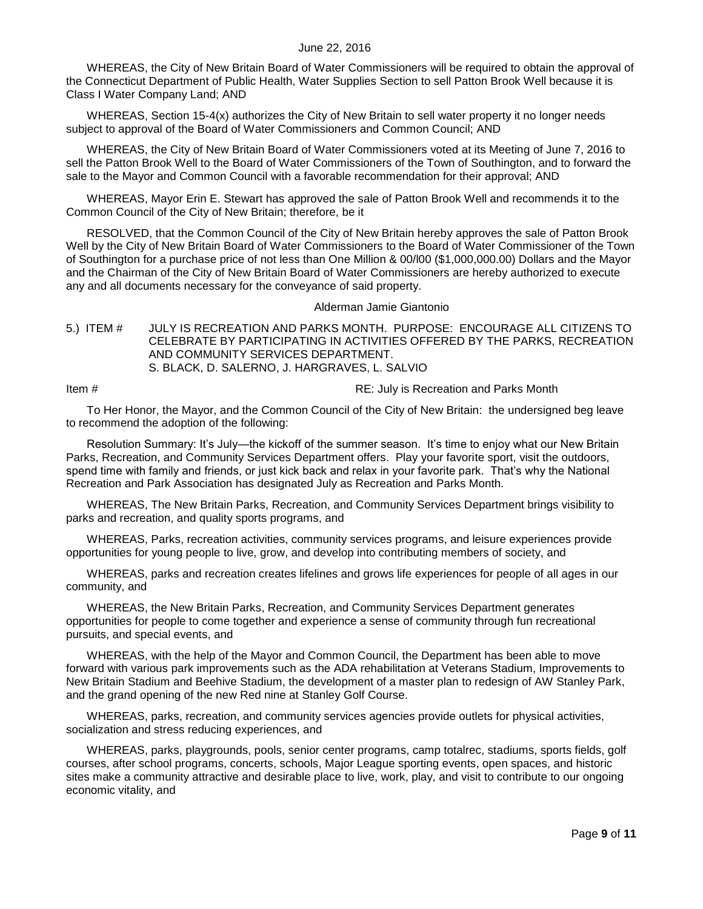WHEREAS, the City of New Britain Board of Water Commissioners will be required to obtain the approval of the Connecticut Department of Public Health, Water Supplies Section to sell Patton Brook Well because it is Class I Water Company Land; AND

WHEREAS, Section 15-4(x) authorizes the City of New Britain to sell water property it no longer needs subject to approval of the Board of Water Commissioners and Common Council; AND

WHEREAS, the City of New Britain Board of Water Commissioners voted at its Meeting of June 7, 2016 to sell the Patton Brook Well to the Board of Water Commissioners of the Town of Southington, and to forward the sale to the Mayor and Common Council with a favorable recommendation for their approval; AND

WHEREAS, Mayor Erin E. Stewart has approved the sale of Patton Brook Well and recommends it to the Common Council of the City of New Britain; therefore, be it

RESOLVED, that the Common Council of the City of New Britain hereby approves the sale of Patton Brook Well by the City of New Britain Board of Water Commissioners to the Board of Water Commissioner of the Town of Southington for a purchase price of not less than One Million & 00/l00 (\$1,000,000.00) Dollars and the Mayor and the Chairman of the City of New Britain Board of Water Commissioners are hereby authorized to execute any and all documents necessary for the conveyance of said property.

#### Alderman Jamie Giantonio

#### <span id="page-8-0"></span>5.) ITEM # JULY IS RECREATION AND PARKS MONTH. PURPOSE: ENCOURAGE ALL CITIZENS TO CELEBRATE BY PARTICIPATING IN ACTIVITIES OFFERED BY THE PARKS, RECREATION AND COMMUNITY SERVICES DEPARTMENT. S. BLACK, D. SALERNO, J. HARGRAVES, L. SALVIO

Item # **Item #** RE: July is Recreation and Parks Month

To Her Honor, the Mayor, and the Common Council of the City of New Britain: the undersigned beg leave to recommend the adoption of the following:

Resolution Summary: It's July—the kickoff of the summer season. It's time to enjoy what our New Britain Parks, Recreation, and Community Services Department offers. Play your favorite sport, visit the outdoors, spend time with family and friends, or just kick back and relax in your favorite park. That's why the National Recreation and Park Association has designated July as Recreation and Parks Month.

WHEREAS, The New Britain Parks, Recreation, and Community Services Department brings visibility to parks and recreation, and quality sports programs, and

WHEREAS, Parks, recreation activities, community services programs, and leisure experiences provide opportunities for young people to live, grow, and develop into contributing members of society, and

WHEREAS, parks and recreation creates lifelines and grows life experiences for people of all ages in our community, and

WHEREAS, the New Britain Parks, Recreation, and Community Services Department generates opportunities for people to come together and experience a sense of community through fun recreational pursuits, and special events, and

WHEREAS, with the help of the Mayor and Common Council, the Department has been able to move forward with various park improvements such as the ADA rehabilitation at Veterans Stadium, Improvements to New Britain Stadium and Beehive Stadium, the development of a master plan to redesign of AW Stanley Park, and the grand opening of the new Red nine at Stanley Golf Course.

WHEREAS, parks, recreation, and community services agencies provide outlets for physical activities, socialization and stress reducing experiences, and

WHEREAS, parks, playgrounds, pools, senior center programs, camp totalrec, stadiums, sports fields, golf courses, after school programs, concerts, schools, Major League sporting events, open spaces, and historic sites make a community attractive and desirable place to live, work, play, and visit to contribute to our ongoing economic vitality, and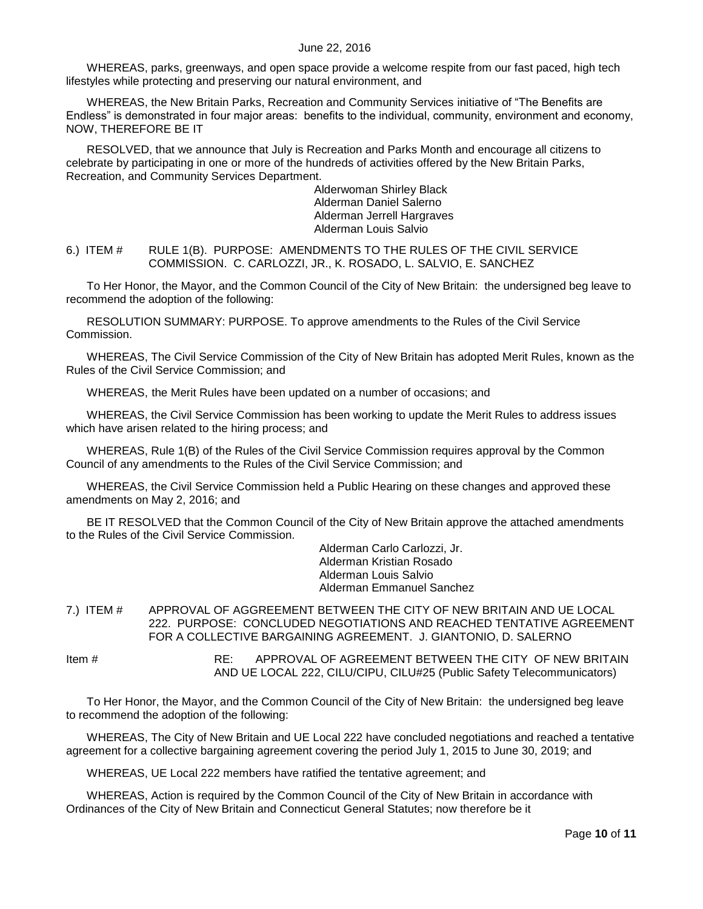WHEREAS, parks, greenways, and open space provide a welcome respite from our fast paced, high tech lifestyles while protecting and preserving our natural environment, and

WHEREAS, the New Britain Parks, Recreation and Community Services initiative of "The Benefits are Endless" is demonstrated in four major areas: benefits to the individual, community, environment and economy, NOW, THEREFORE BE IT

RESOLVED, that we announce that July is Recreation and Parks Month and encourage all citizens to celebrate by participating in one or more of the hundreds of activities offered by the New Britain Parks, Recreation, and Community Services Department.

> Alderwoman Shirley Black Alderman Daniel Salerno Alderman Jerrell Hargraves Alderman Louis Salvio

<span id="page-9-0"></span>6.) ITEM # RULE 1(B). PURPOSE: AMENDMENTS TO THE RULES OF THE CIVIL SERVICE COMMISSION. C. CARLOZZI, JR., K. ROSADO, L. SALVIO, E. SANCHEZ

To Her Honor, the Mayor, and the Common Council of the City of New Britain: the undersigned beg leave to recommend the adoption of the following:

RESOLUTION SUMMARY: PURPOSE. To approve amendments to the Rules of the Civil Service Commission.

WHEREAS, The Civil Service Commission of the City of New Britain has adopted Merit Rules, known as the Rules of the Civil Service Commission; and

WHEREAS, the Merit Rules have been updated on a number of occasions; and

WHEREAS, the Civil Service Commission has been working to update the Merit Rules to address issues which have arisen related to the hiring process; and

WHEREAS, Rule 1(B) of the Rules of the Civil Service Commission requires approval by the Common Council of any amendments to the Rules of the Civil Service Commission; and

WHEREAS, the Civil Service Commission held a Public Hearing on these changes and approved these amendments on May 2, 2016; and

BE IT RESOLVED that the Common Council of the City of New Britain approve the attached amendments to the Rules of the Civil Service Commission.

> Alderman Carlo Carlozzi, Jr. Alderman Kristian Rosado Alderman Louis Salvio Alderman Emmanuel Sanchez

<span id="page-9-1"></span>7.) ITEM # APPROVAL OF AGGREEMENT BETWEEN THE CITY OF NEW BRITAIN AND UE LOCAL 222. PURPOSE: CONCLUDED NEGOTIATIONS AND REACHED TENTATIVE AGREEMENT FOR A COLLECTIVE BARGAINING AGREEMENT. J. GIANTONIO, D. SALERNO

Item # RE: APPROVAL OF AGREEMENT BETWEEN THE CITY OF NEW BRITAIN AND UE LOCAL 222, CILU/CIPU, CILU#25 (Public Safety Telecommunicators)

To Her Honor, the Mayor, and the Common Council of the City of New Britain: the undersigned beg leave to recommend the adoption of the following:

WHEREAS, The City of New Britain and UE Local 222 have concluded negotiations and reached a tentative agreement for a collective bargaining agreement covering the period July 1, 2015 to June 30, 2019; and

WHEREAS, UE Local 222 members have ratified the tentative agreement; and

WHEREAS, Action is required by the Common Council of the City of New Britain in accordance with Ordinances of the City of New Britain and Connecticut General Statutes; now therefore be it